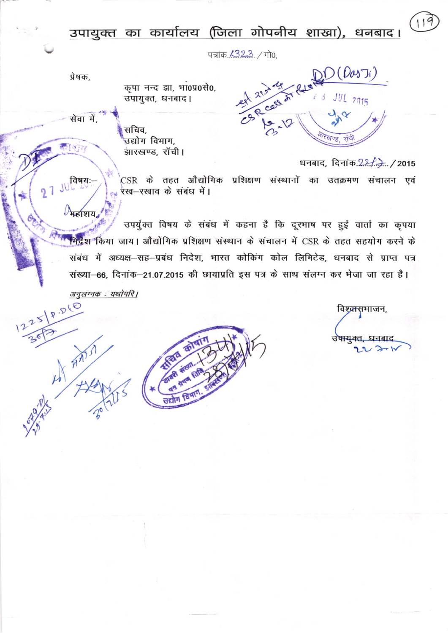## उपायुक्त का कार्यालय (जिला गोपनीय शाखा), धनबाद।

पत्रांक 1323 / गो0.

प्रेषक,

कृपा नन्द झा, भा0प्र0से0, उपायुक्त, धनबाद।

सेवा में,

JU विषयः-

महाशय

AMSI

 $2<sub>1</sub>$ 

 $25$ 

सचिव. उद्योग विभाग. झारखण्ड, रॉची।

 $O(\rho_{\rm 0}$ s Ti)  $JUL$  2015  $J_{\alpha}$ खण्ड राचे

धनबाद, दिनांक 22 2, 12015 .<br>CSR के तहत औद्योगिक प्रशिक्षण संस्थानों का उतक्रमण संचालन एवं स्ख-रखाव के संबंध में।

उपर्युक्त विषय के संबंध में कहना है कि दूरभाष पर हुई वार्ता का कृपया भिद्रेश किया जाय। औद्योगिक प्रशिक्षण संस्थान के संचालन में CSR के तहत सहयोग करने के संबंध में अध्यक्ष-सह-प्रबंध निदेश, भारत कोकिंग कोल लिमिटेड, धनबाद से प्राप्त पत्र संख्या-66, दिनांक-21.07.2015 की छायाप्रति इस पत्र के साथ संलग्न कर भेजा जा रहा है।

अनुलग्नक: यथोपरि |  $18.560$ 



विश्व्रासभाजन, उषायुक्त, धनबाद  $22271$